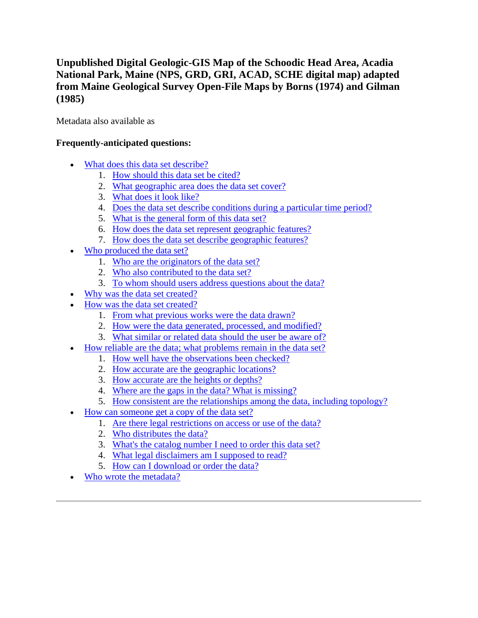# **Unpublished Digital Geologic-GIS Map of the Schoodic Head Area, Acadia National Park, Maine (NPS, GRD, GRI, ACAD, SCHE digital map) adapted from Maine Geological Survey Open-File Maps by Borns (1974) and Gilman (1985)**

Metadata also available as

# **Frequently-anticipated questions:**

- [What does this data set describe?](#page-0-0)
	- 1. [How should this data set be cited?](#page-2-0)
	- 2. [What geographic area does the data set cover?](#page-2-1)
	- 3. [What does it look like?](#page-2-2)
	- 4. [Does the data set describe conditions during a particular time period?](#page-2-3)
	- 5. [What is the general form of this data set?](#page-2-4)
	- 6. [How does the data set represent geographic features?](#page-2-5)
	- 7. [How does the data set describe geographic features?](#page-3-0)
- [Who produced the data set?](#page-3-1)
	- 1. [Who are the originators of the data set?](#page-3-2)
	- 2. [Who also contributed to the data set?](#page-3-3)
	- 3. [To whom should users address questions about the data?](#page-3-4)
- [Why was the data set created?](#page-4-0)
- [How was the data set created?](#page-4-1)
	- 1. [From what previous works were the data drawn?](#page-4-2)
	- 2. [How were the data generated, processed, and modified?](#page-4-3)
	- 3. [What similar or related data should the user be aware of?](#page-6-0)
- [How reliable are the data; what problems remain in the data set?](#page-6-1)
	- 1. [How well have the observations been checked?](#page-6-2)
	- 2. [How accurate are the geographic locations?](#page-6-3)
	- 3. [How accurate are the heights or depths?](#page-6-4)
	- 4. [Where are the gaps in the data? What is missing?](#page-6-5)
	- 5. [How consistent are the relationships among the data, including topology?](#page-7-0)
- [How can someone get a copy of the data set?](#page-7-1)
	- 1. [Are there legal restrictions on access or use of the data?](#page-7-2)
	- 2. [Who distributes the data?](#page-7-3)
	- 3. [What's the catalog number I need to order this data set?](#page-7-4)
	- 4. [What legal disclaimers am I supposed to read?](#page-7-5)
	- 5. [How can I download or order the data?](#page-8-0)
- <span id="page-0-0"></span>[Who wrote the metadata?](#page-9-0)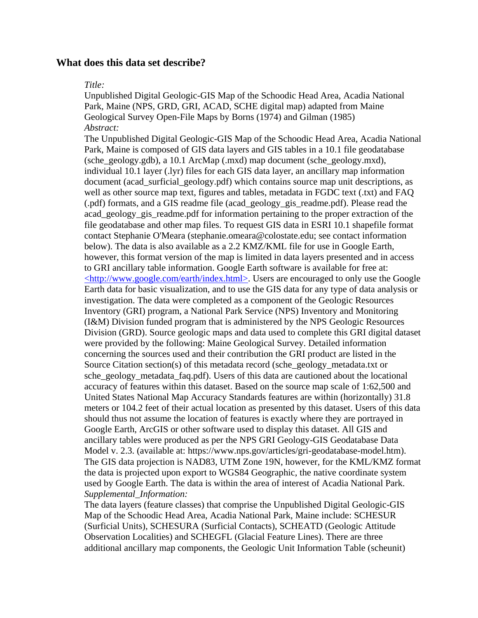### **What does this data set describe?**

#### *Title:*

Unpublished Digital Geologic-GIS Map of the Schoodic Head Area, Acadia National Park, Maine (NPS, GRD, GRI, ACAD, SCHE digital map) adapted from Maine Geological Survey Open-File Maps by Borns (1974) and Gilman (1985) *Abstract:*

The Unpublished Digital Geologic-GIS Map of the Schoodic Head Area, Acadia National Park, Maine is composed of GIS data layers and GIS tables in a 10.1 file geodatabase (sche\_geology.gdb), a 10.1 ArcMap (.mxd) map document (sche\_geology.mxd), individual 10.1 layer (.lyr) files for each GIS data layer, an ancillary map information document (acad surficial geology.pdf) which contains source map unit descriptions, as well as other source map text, figures and tables, metadata in FGDC text (.txt) and FAQ (.pdf) formats, and a GIS readme file (acad\_geology\_gis\_readme.pdf). Please read the acad\_geology\_gis\_readme.pdf for information pertaining to the proper extraction of the file geodatabase and other map files. To request GIS data in ESRI 10.1 shapefile format contact Stephanie O'Meara (stephanie.omeara@colostate.edu; see contact information below). The data is also available as a 2.2 KMZ/KML file for use in Google Earth, however, this format version of the map is limited in data layers presented and in access to GRI ancillary table information. Google Earth software is available for free at: [<http://www.google.com/earth/index.html>.](http://www.google.com/earth/index.html) Users are encouraged to only use the Google Earth data for basic visualization, and to use the GIS data for any type of data analysis or investigation. The data were completed as a component of the Geologic Resources Inventory (GRI) program, a National Park Service (NPS) Inventory and Monitoring (I&M) Division funded program that is administered by the NPS Geologic Resources Division (GRD). Source geologic maps and data used to complete this GRI digital dataset were provided by the following: Maine Geological Survey. Detailed information concerning the sources used and their contribution the GRI product are listed in the Source Citation section(s) of this metadata record (sche\_geology\_metadata.txt or sche\_geology\_metadata\_faq.pdf). Users of this data are cautioned about the locational accuracy of features within this dataset. Based on the source map scale of 1:62,500 and United States National Map Accuracy Standards features are within (horizontally) 31.8 meters or 104.2 feet of their actual location as presented by this dataset. Users of this data should thus not assume the location of features is exactly where they are portrayed in Google Earth, ArcGIS or other software used to display this dataset. All GIS and ancillary tables were produced as per the NPS GRI Geology-GIS Geodatabase Data Model v. 2.3. (available at: https://www.nps.gov/articles/gri-geodatabase-model.htm). The GIS data projection is NAD83, UTM Zone 19N, however, for the KML/KMZ format the data is projected upon export to WGS84 Geographic, the native coordinate system used by Google Earth. The data is within the area of interest of Acadia National Park. *Supplemental\_Information:*

The data layers (feature classes) that comprise the Unpublished Digital Geologic-GIS Map of the Schoodic Head Area, Acadia National Park, Maine include: SCHESUR (Surficial Units), SCHESURA (Surficial Contacts), SCHEATD (Geologic Attitude Observation Localities) and SCHEGFL (Glacial Feature Lines). There are three additional ancillary map components, the Geologic Unit Information Table (scheunit)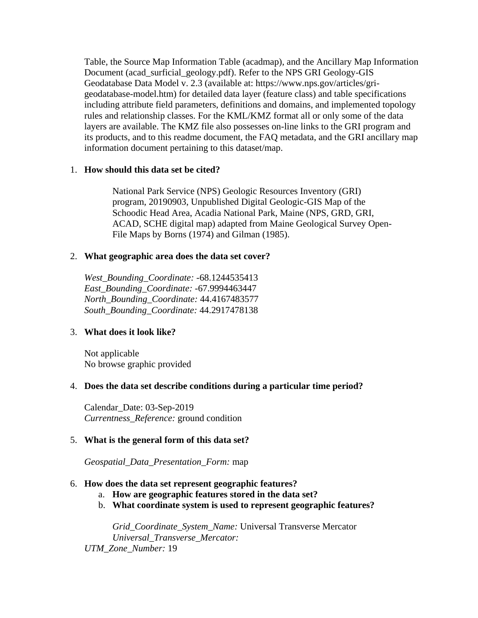Table, the Source Map Information Table (acadmap), and the Ancillary Map Information Document (acad\_surficial\_geology.pdf). Refer to the NPS GRI Geology-GIS Geodatabase Data Model v. 2.3 (available at: https://www.nps.gov/articles/grigeodatabase-model.htm) for detailed data layer (feature class) and table specifications including attribute field parameters, definitions and domains, and implemented topology rules and relationship classes. For the KML/KMZ format all or only some of the data layers are available. The KMZ file also possesses on-line links to the GRI program and its products, and to this readme document, the FAQ metadata, and the GRI ancillary map information document pertaining to this dataset/map.

### <span id="page-2-0"></span>1. **How should this data set be cited?**

National Park Service (NPS) Geologic Resources Inventory (GRI) program, 20190903, Unpublished Digital Geologic-GIS Map of the Schoodic Head Area, Acadia National Park, Maine (NPS, GRD, GRI, ACAD, SCHE digital map) adapted from Maine Geological Survey Open-File Maps by Borns (1974) and Gilman (1985).

## <span id="page-2-1"></span>2. **What geographic area does the data set cover?**

*West\_Bounding\_Coordinate:* -68.1244535413 *East\_Bounding\_Coordinate:* -67.9994463447 *North\_Bounding\_Coordinate:* 44.4167483577 *South\_Bounding\_Coordinate:* 44.2917478138

# <span id="page-2-2"></span>3. **What does it look like?**

Not applicable No browse graphic provided

# <span id="page-2-3"></span>4. **Does the data set describe conditions during a particular time period?**

Calendar\_Date: 03-Sep-2019 *Currentness\_Reference:* ground condition

# <span id="page-2-4"></span>5. **What is the general form of this data set?**

*Geospatial\_Data\_Presentation\_Form:* map

### <span id="page-2-5"></span>6. **How does the data set represent geographic features?**

- a. **How are geographic features stored in the data set?**
- b. **What coordinate system is used to represent geographic features?**

*Grid\_Coordinate\_System\_Name:* Universal Transverse Mercator *Universal\_Transverse\_Mercator: UTM\_Zone\_Number:* 19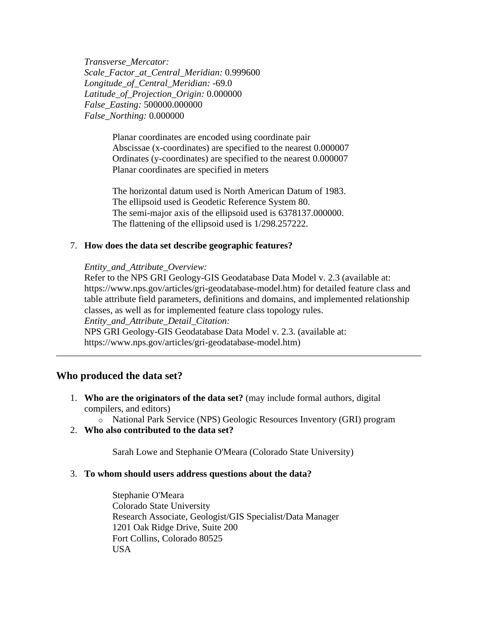*Transverse\_Mercator: Scale\_Factor\_at\_Central\_Meridian:* 0.999600 *Longitude\_of\_Central\_Meridian:* -69.0 *Latitude\_of\_Projection\_Origin:* 0.000000 *False\_Easting:* 500000.000000 *False\_Northing:* 0.000000

> Planar coordinates are encoded using coordinate pair Abscissae (x-coordinates) are specified to the nearest 0.000007 Ordinates (y-coordinates) are specified to the nearest 0.000007 Planar coordinates are specified in meters

The horizontal datum used is North American Datum of 1983. The ellipsoid used is Geodetic Reference System 80. The semi-major axis of the ellipsoid used is 6378137.000000. The flattening of the ellipsoid used is 1/298.257222.

#### <span id="page-3-0"></span>7. **How does the data set describe geographic features?**

*Entity\_and\_Attribute\_Overview:*

Refer to the NPS GRI Geology-GIS Geodatabase Data Model v. 2.3 (available at: https://www.nps.gov/articles/gri-geodatabase-model.htm) for detailed feature class and table attribute field parameters, definitions and domains, and implemented relationship classes, as well as for implemented feature class topology rules.

*Entity\_and\_Attribute\_Detail\_Citation:*

NPS GRI Geology-GIS Geodatabase Data Model v. 2.3. (available at: https://www.nps.gov/articles/gri-geodatabase-model.htm)

#### <span id="page-3-1"></span>**Who produced the data set?**

- <span id="page-3-2"></span>1. **Who are the originators of the data set?** (may include formal authors, digital compilers, and editors)
	- o National Park Service (NPS) Geologic Resources Inventory (GRI) program
- <span id="page-3-3"></span>2. **Who also contributed to the data set?**

Sarah Lowe and Stephanie O'Meara (Colorado State University)

#### <span id="page-3-4"></span>3. **To whom should users address questions about the data?**

Stephanie O'Meara Colorado State University Research Associate, Geologist/GIS Specialist/Data Manager 1201 Oak Ridge Drive, Suite 200 Fort Collins, Colorado 80525 USA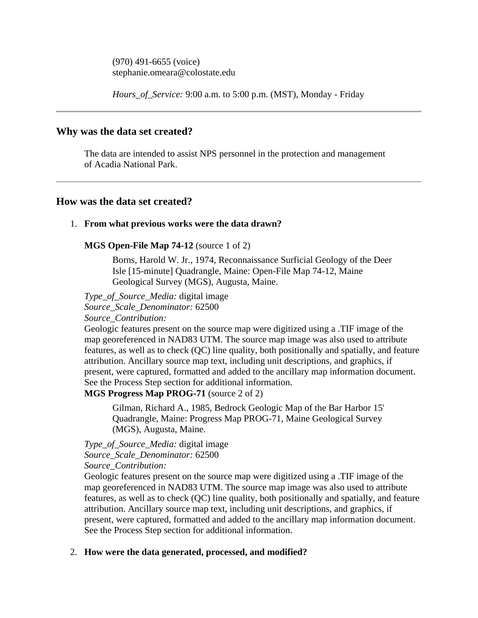(970) 491-6655 (voice) stephanie.omeara@colostate.edu

*Hours\_of\_Service:* 9:00 a.m. to 5:00 p.m. (MST), Monday - Friday

# <span id="page-4-0"></span>**Why was the data set created?**

The data are intended to assist NPS personnel in the protection and management of Acadia National Park.

# <span id="page-4-1"></span>**How was the data set created?**

### <span id="page-4-2"></span>1. **From what previous works were the data drawn?**

### **MGS Open-File Map 74-12** (source 1 of 2)

Borns, Harold W. Jr., 1974, Reconnaissance Surficial Geology of the Deer Isle [15-minute] Quadrangle, Maine: Open-File Map 74-12, Maine Geological Survey (MGS), Augusta, Maine.

*Type\_of\_Source\_Media:* digital image *Source\_Scale\_Denominator:* 62500

*Source\_Contribution:*

Geologic features present on the source map were digitized using a .TIF image of the map georeferenced in NAD83 UTM. The source map image was also used to attribute features, as well as to check (QC) line quality, both positionally and spatially, and feature attribution. Ancillary source map text, including unit descriptions, and graphics, if present, were captured, formatted and added to the ancillary map information document. See the Process Step section for additional information.

**MGS Progress Map PROG-71** (source 2 of 2)

Gilman, Richard A., 1985, Bedrock Geologic Map of the Bar Harbor 15' Quadrangle, Maine: Progress Map PROG-71, Maine Geological Survey (MGS), Augusta, Maine.

*Type\_of\_Source\_Media:* digital image *Source\_Scale\_Denominator:* 62500 *Source\_Contribution:*

Geologic features present on the source map were digitized using a .TIF image of the map georeferenced in NAD83 UTM. The source map image was also used to attribute features, as well as to check (QC) line quality, both positionally and spatially, and feature attribution. Ancillary source map text, including unit descriptions, and graphics, if present, were captured, formatted and added to the ancillary map information document. See the Process Step section for additional information.

### <span id="page-4-3"></span>2. **How were the data generated, processed, and modified?**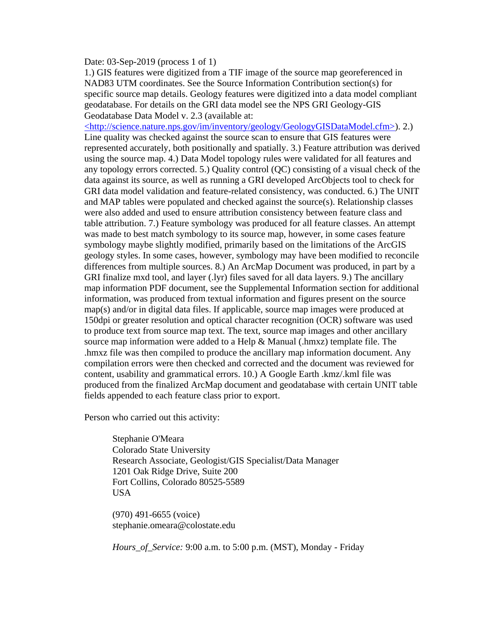Date: 03-Sep-2019 (process 1 of 1)

1.) GIS features were digitized from a TIF image of the source map georeferenced in NAD83 UTM coordinates. See the Source Information Contribution section(s) for specific source map details. Geology features were digitized into a data model compliant geodatabase. For details on the GRI data model see the NPS GRI Geology-GIS Geodatabase Data Model v. 2.3 (available at:

[<http://science.nature.nps.gov/im/inventory/geology/GeologyGISDataModel.cfm>\)](http://science.nature.nps.gov/im/inventory/geology/GeologyGISDataModel.cfm). 2.) Line quality was checked against the source scan to ensure that GIS features were represented accurately, both positionally and spatially. 3.) Feature attribution was derived using the source map. 4.) Data Model topology rules were validated for all features and any topology errors corrected. 5.) Quality control (QC) consisting of a visual check of the data against its source, as well as running a GRI developed ArcObjects tool to check for GRI data model validation and feature-related consistency, was conducted. 6.) The UNIT and MAP tables were populated and checked against the source(s). Relationship classes were also added and used to ensure attribution consistency between feature class and table attribution. 7.) Feature symbology was produced for all feature classes. An attempt was made to best match symbology to its source map, however, in some cases feature symbology maybe slightly modified, primarily based on the limitations of the ArcGIS geology styles. In some cases, however, symbology may have been modified to reconcile differences from multiple sources. 8.) An ArcMap Document was produced, in part by a GRI finalize mxd tool, and layer (.lyr) files saved for all data layers. 9.) The ancillary map information PDF document, see the Supplemental Information section for additional information, was produced from textual information and figures present on the source map(s) and/or in digital data files. If applicable, source map images were produced at 150dpi or greater resolution and optical character recognition (OCR) software was used to produce text from source map text. The text, source map images and other ancillary source map information were added to a Help  $\&$  Manual (.hmxz) template file. The .hmxz file was then compiled to produce the ancillary map information document. Any compilation errors were then checked and corrected and the document was reviewed for content, usability and grammatical errors. 10.) A Google Earth .kmz/.kml file was produced from the finalized ArcMap document and geodatabase with certain UNIT table fields appended to each feature class prior to export.

Person who carried out this activity:

Stephanie O'Meara Colorado State University Research Associate, Geologist/GIS Specialist/Data Manager 1201 Oak Ridge Drive, Suite 200 Fort Collins, Colorado 80525-5589 USA

(970) 491-6655 (voice) stephanie.omeara@colostate.edu

*Hours\_of\_Service:* 9:00 a.m. to 5:00 p.m. (MST), Monday - Friday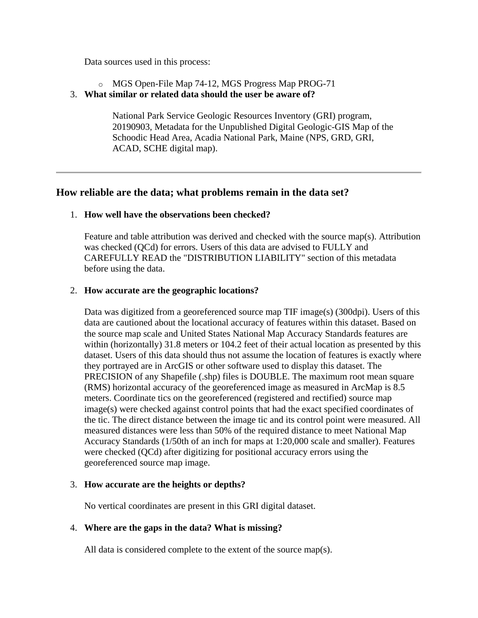Data sources used in this process:

- o MGS Open-File Map 74-12, MGS Progress Map PROG-71
- <span id="page-6-0"></span>3. **What similar or related data should the user be aware of?**

National Park Service Geologic Resources Inventory (GRI) program, 20190903, Metadata for the Unpublished Digital Geologic-GIS Map of the Schoodic Head Area, Acadia National Park, Maine (NPS, GRD, GRI, ACAD, SCHE digital map).

# <span id="page-6-1"></span>**How reliable are the data; what problems remain in the data set?**

### <span id="page-6-2"></span>1. **How well have the observations been checked?**

Feature and table attribution was derived and checked with the source map(s). Attribution was checked (QCd) for errors. Users of this data are advised to FULLY and CAREFULLY READ the "DISTRIBUTION LIABILITY" section of this metadata before using the data.

### <span id="page-6-3"></span>2. **How accurate are the geographic locations?**

Data was digitized from a georeferenced source map TIF image(s) (300dpi). Users of this data are cautioned about the locational accuracy of features within this dataset. Based on the source map scale and United States National Map Accuracy Standards features are within (horizontally) 31.8 meters or 104.2 feet of their actual location as presented by this dataset. Users of this data should thus not assume the location of features is exactly where they portrayed are in ArcGIS or other software used to display this dataset. The PRECISION of any Shapefile (.shp) files is DOUBLE. The maximum root mean square (RMS) horizontal accuracy of the georeferenced image as measured in ArcMap is 8.5 meters. Coordinate tics on the georeferenced (registered and rectified) source map image(s) were checked against control points that had the exact specified coordinates of the tic. The direct distance between the image tic and its control point were measured. All measured distances were less than 50% of the required distance to meet National Map Accuracy Standards (1/50th of an inch for maps at 1:20,000 scale and smaller). Features were checked (QCd) after digitizing for positional accuracy errors using the georeferenced source map image.

### <span id="page-6-4"></span>3. **How accurate are the heights or depths?**

No vertical coordinates are present in this GRI digital dataset.

# <span id="page-6-5"></span>4. **Where are the gaps in the data? What is missing?**

All data is considered complete to the extent of the source map(s).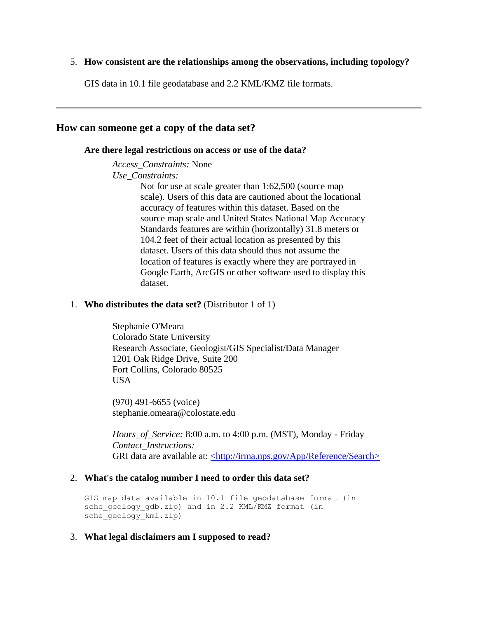#### <span id="page-7-0"></span>5. **How consistent are the relationships among the observations, including topology?**

GIS data in 10.1 file geodatabase and 2.2 KML/KMZ file formats.

### <span id="page-7-2"></span><span id="page-7-1"></span>**How can someone get a copy of the data set?**

#### **Are there legal restrictions on access or use of the data?**

*Access\_Constraints:* None

*Use\_Constraints:*

Not for use at scale greater than 1:62,500 (source map scale). Users of this data are cautioned about the locational accuracy of features within this dataset. Based on the source map scale and United States National Map Accuracy Standards features are within (horizontally) 31.8 meters or 104.2 feet of their actual location as presented by this dataset. Users of this data should thus not assume the location of features is exactly where they are portrayed in Google Earth, ArcGIS or other software used to display this dataset.

#### <span id="page-7-3"></span>1. **Who distributes the data set?** (Distributor 1 of 1)

Stephanie O'Meara Colorado State University Research Associate, Geologist/GIS Specialist/Data Manager 1201 Oak Ridge Drive, Suite 200 Fort Collins, Colorado 80525 USA

(970) 491-6655 (voice) stephanie.omeara@colostate.edu

*Hours\_of\_Service:* 8:00 a.m. to 4:00 p.m. (MST), Monday - Friday *Contact\_Instructions:* GRI data are available at: [<http://irma.nps.gov/App/Reference/Search>](http://irma.nps.gov/App/Reference/Search)

#### <span id="page-7-4"></span>2. **What's the catalog number I need to order this data set?**

GIS map data available in 10.1 file geodatabase format (in sche geology gdb.zip) and in 2.2 KML/KMZ format (in sche<sup>qeology\_kml.zip</sup>)

#### <span id="page-7-5"></span>3. **What legal disclaimers am I supposed to read?**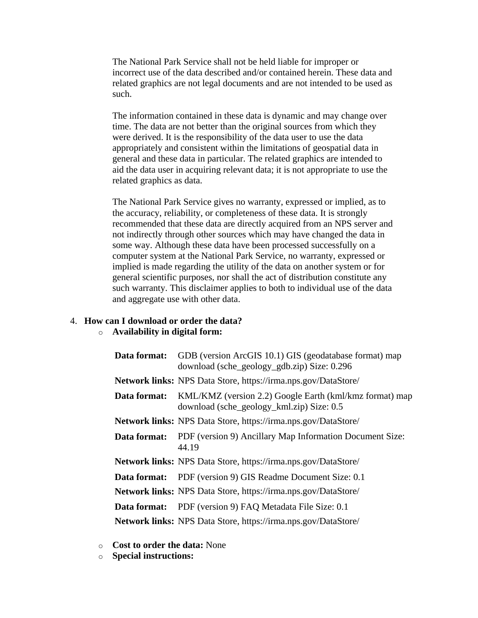The National Park Service shall not be held liable for improper or incorrect use of the data described and/or contained herein. These data and related graphics are not legal documents and are not intended to be used as such.

The information contained in these data is dynamic and may change over time. The data are not better than the original sources from which they were derived. It is the responsibility of the data user to use the data appropriately and consistent within the limitations of geospatial data in general and these data in particular. The related graphics are intended to aid the data user in acquiring relevant data; it is not appropriate to use the related graphics as data.

The National Park Service gives no warranty, expressed or implied, as to the accuracy, reliability, or completeness of these data. It is strongly recommended that these data are directly acquired from an NPS server and not indirectly through other sources which may have changed the data in some way. Although these data have been processed successfully on a computer system at the National Park Service, no warranty, expressed or implied is made regarding the utility of the data on another system or for general scientific purposes, nor shall the act of distribution constitute any such warranty. This disclaimer applies to both to individual use of the data and aggregate use with other data.

## <span id="page-8-0"></span>4. **How can I download or order the data?**

### o **Availability in digital form:**

| Data format: | GDB (version ArcGIS 10.1) GIS (geodatabase format) map<br>download (sche_geology_gdb.zip) Size: 0.296 |
|--------------|-------------------------------------------------------------------------------------------------------|
|              | Network links: NPS Data Store, https://irma.nps.gov/DataStore/                                        |
| Data format: | KML/KMZ (version 2.2) Google Earth (kml/kmz format) map<br>download (sche_geology_kml.zip) Size: 0.5  |
|              | Network links: NPS Data Store, https://irma.nps.gov/DataStore/                                        |
| Data format: | PDF (version 9) Ancillary Map Information Document Size:<br>44.19                                     |
|              | <b>Network links:</b> NPS Data Store, https://irma.nps.gov/DataStore/                                 |
|              | <b>Data format:</b> PDF (version 9) GIS Readme Document Size: 0.1                                     |
|              | Network links: NPS Data Store, https://irma.nps.gov/DataStore/                                        |
| Data format: | PDF (version 9) FAQ Metadata File Size: 0.1                                                           |
|              | <b>Network links:</b> NPS Data Store, https://irma.nps.gov/DataStore/                                 |

- o **Cost to order the data:** None
- o **Special instructions:**